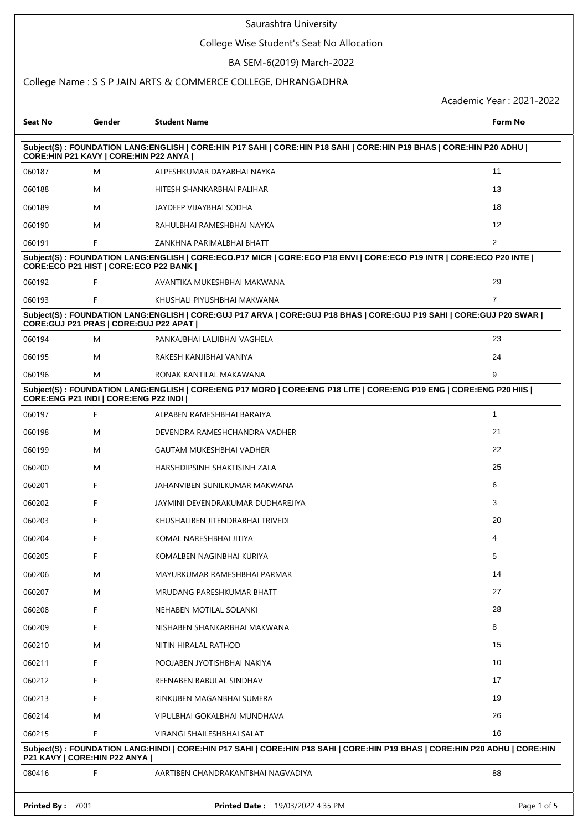# College Wise Student's Seat No Allocation

# BA SEM-6(2019) March-2022

# College Name : S S P JAIN ARTS & COMMERCE COLLEGE, DHRANGADHRA

| <b>Seat No</b>                                                                                                                                                   | Gender                                                                                                                                                         | <b>Student Name</b>                                                                                                          | Form No        |  |  |  |  |  |
|------------------------------------------------------------------------------------------------------------------------------------------------------------------|----------------------------------------------------------------------------------------------------------------------------------------------------------------|------------------------------------------------------------------------------------------------------------------------------|----------------|--|--|--|--|--|
| Subject(S): FOUNDATION LANG:ENGLISH   CORE:HIN P17 SAHI   CORE:HIN P18 SAHI   CORE:HIN P19 BHAS   CORE:HIN P20 ADHU  <br>CORE: HIN P21 KAVY   CORE: HIN P22 ANYA |                                                                                                                                                                |                                                                                                                              |                |  |  |  |  |  |
| 060187                                                                                                                                                           | M                                                                                                                                                              | ALPESHKUMAR DAYABHAI NAYKA                                                                                                   | 11             |  |  |  |  |  |
| 060188                                                                                                                                                           | M                                                                                                                                                              | HITESH SHANKARBHAI PALIHAR                                                                                                   | 13             |  |  |  |  |  |
| 060189                                                                                                                                                           | M                                                                                                                                                              | JAYDEEP VIJAYBHAI SODHA                                                                                                      | 18             |  |  |  |  |  |
| 060190                                                                                                                                                           | M                                                                                                                                                              | RAHULBHAI RAMESHBHAI NAYKA                                                                                                   | 12             |  |  |  |  |  |
| 060191                                                                                                                                                           | F                                                                                                                                                              | ZANKHNA PARIMALBHAI BHATT                                                                                                    | $\overline{2}$ |  |  |  |  |  |
|                                                                                                                                                                  | Subject(S): FOUNDATION LANG:ENGLISH   CORE:ECO.P17 MICR   CORE:ECO P18 ENVI   CORE:ECO P19 INTR   CORE:ECO P20 INTE  <br>CORE:ECO P21 HIST   CORE:ECO P22 BANK |                                                                                                                              |                |  |  |  |  |  |
| 060192                                                                                                                                                           | F                                                                                                                                                              | AVANTIKA MUKESHBHAI MAKWANA                                                                                                  | 29             |  |  |  |  |  |
| 060193                                                                                                                                                           | F                                                                                                                                                              | KHUSHALI PIYUSHBHAI MAKWANA                                                                                                  | $\overline{7}$ |  |  |  |  |  |
| Subject(S): FOUNDATION LANG:ENGLISH   CORE:GUJ P17 ARVA   CORE:GUJ P18 BHAS   CORE:GUJ P19 SAHI   CORE:GUJ P20 SWAR  <br>CORE: GUJ P21 PRAS   CORE: GUJ P22 APAT |                                                                                                                                                                |                                                                                                                              |                |  |  |  |  |  |
| 060194                                                                                                                                                           | M                                                                                                                                                              | PANKAJBHAI LALJIBHAI VAGHELA                                                                                                 | 23             |  |  |  |  |  |
| 060195                                                                                                                                                           | M                                                                                                                                                              | RAKESH KANJIBHAI VANIYA                                                                                                      | 24             |  |  |  |  |  |
| 060196                                                                                                                                                           | M                                                                                                                                                              | RONAK KANTILAL MAKAWANA                                                                                                      | 9              |  |  |  |  |  |
|                                                                                                                                                                  | CORE: ENG P21 INDI   CORE: ENG P22 INDI                                                                                                                        | Subject(S): FOUNDATION LANG:ENGLISH   CORE:ENG P17 MORD   CORE:ENG P18 LITE   CORE:ENG P19 ENG   CORE:ENG P20 HIIS           |                |  |  |  |  |  |
| 060197                                                                                                                                                           | F                                                                                                                                                              | ALPABEN RAMESHBHAI BARAIYA                                                                                                   | $\mathbf{1}$   |  |  |  |  |  |
| 060198                                                                                                                                                           | M                                                                                                                                                              | DEVENDRA RAMESHCHANDRA VADHER                                                                                                | 21             |  |  |  |  |  |
| 060199                                                                                                                                                           | M                                                                                                                                                              | GAUTAM MUKESHBHAI VADHER                                                                                                     | 22             |  |  |  |  |  |
| 060200                                                                                                                                                           | M                                                                                                                                                              | HARSHDIPSINH SHAKTISINH ZALA                                                                                                 | 25             |  |  |  |  |  |
| 060201                                                                                                                                                           | F                                                                                                                                                              | JAHANVIBEN SUNILKUMAR MAKWANA                                                                                                | 6              |  |  |  |  |  |
| 060202                                                                                                                                                           | F                                                                                                                                                              | JAYMINI DEVENDRAKUMAR DUDHAREJIYA                                                                                            | 3              |  |  |  |  |  |
| 060203                                                                                                                                                           | F                                                                                                                                                              | KHUSHALIBEN JITENDRABHAI TRIVEDI                                                                                             | 20             |  |  |  |  |  |
| 060204                                                                                                                                                           | F                                                                                                                                                              | KOMAL NARESHBHAI JITIYA                                                                                                      | 4              |  |  |  |  |  |
| 060205                                                                                                                                                           | F                                                                                                                                                              | KOMALBEN NAGINBHAI KURIYA                                                                                                    | 5              |  |  |  |  |  |
| 060206                                                                                                                                                           | M                                                                                                                                                              | MAYURKUMAR RAMESHBHAI PARMAR                                                                                                 | 14             |  |  |  |  |  |
| 060207                                                                                                                                                           | M                                                                                                                                                              | MRUDANG PARESHKUMAR BHATT                                                                                                    | 27             |  |  |  |  |  |
| 060208                                                                                                                                                           | F                                                                                                                                                              | NEHABEN MOTILAL SOLANKI                                                                                                      | 28             |  |  |  |  |  |
| 060209                                                                                                                                                           | F                                                                                                                                                              | NISHABEN SHANKARBHAI MAKWANA                                                                                                 | 8              |  |  |  |  |  |
| 060210                                                                                                                                                           | M                                                                                                                                                              | NITIN HIRALAL RATHOD                                                                                                         | 15             |  |  |  |  |  |
| 060211                                                                                                                                                           | F                                                                                                                                                              | POOJABEN JYOTISHBHAI NAKIYA                                                                                                  | 10             |  |  |  |  |  |
| 060212                                                                                                                                                           | F                                                                                                                                                              | REENABEN BABULAL SINDHAV                                                                                                     | 17             |  |  |  |  |  |
| 060213                                                                                                                                                           | F                                                                                                                                                              | RINKUBEN MAGANBHAI SUMERA                                                                                                    | 19             |  |  |  |  |  |
| 060214                                                                                                                                                           | M                                                                                                                                                              | VIPULBHAI GOKALBHAI MUNDHAVA                                                                                                 | 26             |  |  |  |  |  |
| 060215                                                                                                                                                           | F                                                                                                                                                              | VIRANGI SHAILESHBHAI SALAT                                                                                                   | 16             |  |  |  |  |  |
|                                                                                                                                                                  | P21 KAVY   CORE: HIN P22 ANYA                                                                                                                                  | Subject(S): FOUNDATION LANG:HINDI   CORE:HIN P17 SAHI   CORE:HIN P18 SAHI   CORE:HIN P19 BHAS   CORE:HIN P20 ADHU   CORE:HIN |                |  |  |  |  |  |
| 080416                                                                                                                                                           | F                                                                                                                                                              | AARTIBEN CHANDRAKANTBHAI NAGVADIYA                                                                                           | 88             |  |  |  |  |  |
| Printed By: 7001                                                                                                                                                 |                                                                                                                                                                | <b>Printed Date: 19/03/2022 4:35 PM</b>                                                                                      | Page 1 of 5    |  |  |  |  |  |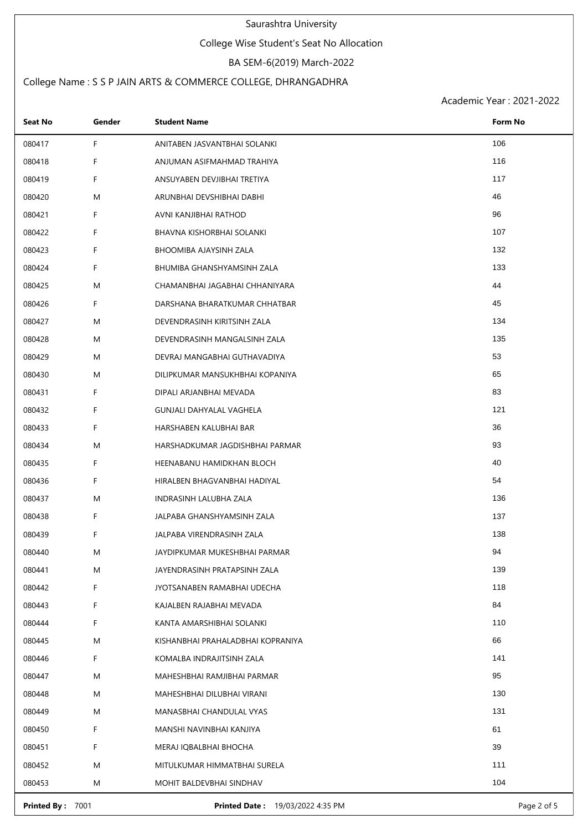## College Wise Student's Seat No Allocation

# BA SEM-6(2019) March-2022

# College Name : S S P JAIN ARTS & COMMERCE COLLEGE, DHRANGADHRA

Academic Year : 2021-2022

| 106<br>F.<br>080417<br>ANITABEN JASVANTBHAI SOLANKI    |  |
|--------------------------------------------------------|--|
|                                                        |  |
| 116<br>F<br>080418<br>ANJUMAN ASIFMAHMAD TRAHIYA       |  |
| F.<br>117<br>080419<br>ANSUYABEN DEVJIBHAI TRETIYA     |  |
| 46<br>080420<br>M<br>ARUNBHAI DEVSHIBHAI DABHI         |  |
| 96<br>F.<br>080421<br>AVNI KANJIBHAI RATHOD            |  |
| 107<br>F<br>080422<br>BHAVNA KISHORBHAI SOLANKI        |  |
| 132<br>F.<br>080423<br>BHOOMIBA AJAYSINH ZALA          |  |
| 133<br>F<br>080424<br>BHUMIBA GHANSHYAMSINH ZALA       |  |
| 44<br>080425<br>M<br>CHAMANBHAI JAGABHAI CHHANIYARA    |  |
| F.<br>45<br>080426<br>DARSHANA BHARATKUMAR CHHATBAR    |  |
| 134<br>M<br>080427<br>DEVENDRASINH KIRITSINH ZALA      |  |
| 135<br>080428<br>M<br>DEVENDRASINH MANGALSINH ZALA     |  |
| 53<br>080429<br>M<br>DEVRAJ MANGABHAI GUTHAVADIYA      |  |
| 65<br>080430<br>M<br>DILIPKUMAR MANSUKHBHAI KOPANIYA   |  |
| 83<br>080431<br>F.<br>DIPALI ARJANBHAI MEVADA          |  |
| 121<br>F.<br>080432<br>GUNJALI DAHYALAL VAGHELA        |  |
| 36<br>F.<br>080433<br>HARSHABEN KALUBHAI BAR           |  |
| 93<br>080434<br>M<br>HARSHADKUMAR JAGDISHBHAI PARMAR   |  |
| 40<br>080435<br>F.<br>HEENABANU HAMIDKHAN BLOCH        |  |
| 54<br>F.<br>080436<br>HIRALBEN BHAGVANBHAI HADIYAL     |  |
| 136<br>080437<br>M<br>INDRASINH LALUBHA ZALA           |  |
| F.<br>137<br>080438<br>JALPABA GHANSHYAMSINH ZALA      |  |
| F<br>138<br>080439<br>JALPABA VIRENDRASINH ZALA        |  |
| 94<br>080440<br>M<br>JAYDIPKUMAR MUKESHBHAI PARMAR     |  |
| 139<br>M<br>080441<br>JAYENDRASINH PRATAPSINH ZALA     |  |
| F<br>118<br>080442<br>JYOTSANABEN RAMABHAI UDECHA      |  |
| 84<br>F<br>080443<br>KAJALBEN RAJABHAI MEVADA          |  |
| F<br>110<br>080444<br>KANTA AMARSHIBHAI SOLANKI        |  |
| 66<br>M<br>080445<br>KISHANBHAI PRAHALADBHAI KOPRANIYA |  |
| F<br>141<br>080446<br>KOMALBA INDRAJITSINH ZALA        |  |
| 95<br>M<br>080447<br>MAHESHBHAI RAMJIBHAI PARMAR       |  |
| 130<br>080448<br>M<br>MAHESHBHAI DILUBHAI VIRANI       |  |
| 131<br>M<br>080449<br>MANASBHAI CHANDULAL VYAS         |  |
| F<br>61<br>080450<br>MANSHI NAVINBHAI KANJIYA          |  |
| 39<br>F<br>080451<br>MERAJ IQBALBHAI BHOCHA            |  |
| 111<br>M<br>080452<br>MITULKUMAR HIMMATBHAI SURELA     |  |
| 104<br>080453<br>M<br>MOHIT BALDEVBHAI SINDHAV         |  |

**Printed By :** 7001 **Printed Date :** 19/03/2022 4:35 PM **Printed By :** 7001 Page 2 of 5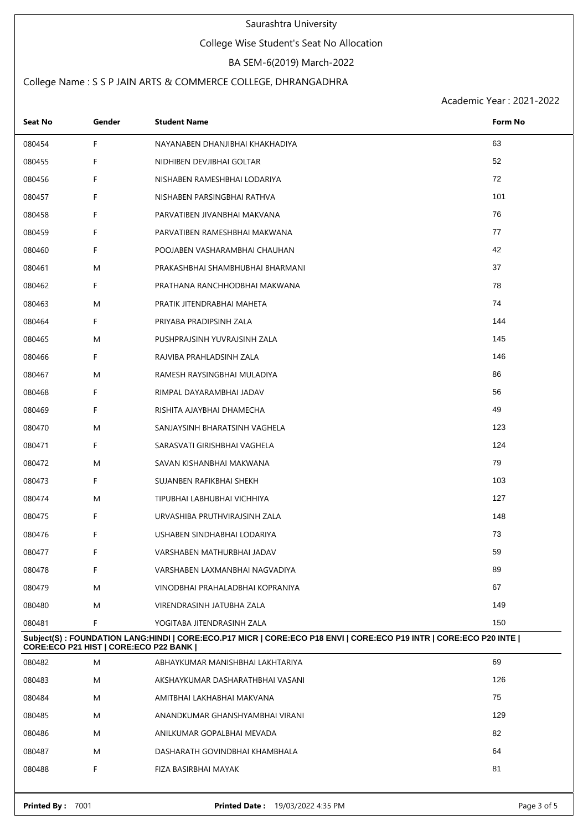## College Wise Student's Seat No Allocation

# BA SEM-6(2019) March-2022

# College Name : S S P JAIN ARTS & COMMERCE COLLEGE, DHRANGADHRA

| Seat No                                                                                                                                                      | Gender | <b>Student Name</b>              | Form No     |  |
|--------------------------------------------------------------------------------------------------------------------------------------------------------------|--------|----------------------------------|-------------|--|
| 080454                                                                                                                                                       | F      | NAYANABEN DHANJIBHAI KHAKHADIYA  | 63          |  |
| 080455                                                                                                                                                       | F      | NIDHIBEN DEVJIBHAI GOLTAR        | 52          |  |
| 080456                                                                                                                                                       | F      | NISHABEN RAMESHBHAI LODARIYA     | 72          |  |
| 080457                                                                                                                                                       | F      | NISHABEN PARSINGBHAI RATHVA      | 101         |  |
| 080458                                                                                                                                                       | F.     | PARVATIBEN JIVANBHAI MAKVANA     | 76          |  |
| 080459                                                                                                                                                       | F      | PARVATIBEN RAMESHBHAI MAKWANA    | 77          |  |
| 080460                                                                                                                                                       | F      | POOJABEN VASHARAMBHAI CHAUHAN    | 42          |  |
| 080461                                                                                                                                                       | M      | PRAKASHBHAI SHAMBHUBHAI BHARMANI | 37          |  |
| 080462                                                                                                                                                       | F      | PRATHANA RANCHHODBHAI MAKWANA    | 78          |  |
| 080463                                                                                                                                                       | M      | PRATIK JITENDRABHAI MAHETA       | 74          |  |
| 080464                                                                                                                                                       | F      | PRIYABA PRADIPSINH ZALA          | 144         |  |
| 080465                                                                                                                                                       | M      | PUSHPRAJSINH YUVRAJSINH ZALA     | 145         |  |
| 080466                                                                                                                                                       | F      | RAJVIBA PRAHLADSINH ZALA         | 146         |  |
| 080467                                                                                                                                                       | M      | RAMESH RAYSINGBHAI MULADIYA      | 86          |  |
| 080468                                                                                                                                                       | F      | RIMPAL DAYARAMBHAI JADAV         | 56          |  |
| 080469                                                                                                                                                       | F      | RISHITA AJAYBHAI DHAMECHA        | 49          |  |
| 080470                                                                                                                                                       | M      | SANJAYSINH BHARATSINH VAGHELA    | 123         |  |
| 080471                                                                                                                                                       | F.     | SARASVATI GIRISHBHAI VAGHELA     | 124         |  |
| 080472                                                                                                                                                       | M      | SAVAN KISHANBHAI MAKWANA         | 79          |  |
| 080473                                                                                                                                                       | F      | SUJANBEN RAFIKBHAI SHEKH         | 103         |  |
| 080474                                                                                                                                                       | M      | TIPUBHAI LABHUBHAI VICHHIYA      | 127         |  |
| 080475                                                                                                                                                       | F      | URVASHIBA PRUTHVIRAJSINH ZALA    | 148         |  |
| 080476                                                                                                                                                       | F      | USHABEN SINDHABHAI LODARIYA      | 73          |  |
| 080477                                                                                                                                                       | F      | VARSHABEN MATHURBHAI JADAV       | 59          |  |
| 080478                                                                                                                                                       | F      | VARSHABEN LAXMANBHAI NAGVADIYA   | 89          |  |
| 080479                                                                                                                                                       | M      | VINODBHAI PRAHALADBHAI KOPRANIYA | 67          |  |
| 080480                                                                                                                                                       | M      | VIRENDRASINH JATUBHA ZALA        | 149         |  |
| 080481                                                                                                                                                       | F      | YOGITABA JITENDRASINH ZALA       | 150         |  |
| Subject(S): FOUNDATION LANG:HINDI   CORE:ECO.P17 MICR   CORE:ECO P18 ENVI   CORE:ECO P19 INTR   CORE:ECO P20 INTE  <br>CORE:ECO P21 HIST   CORE:ECO P22 BANK |        |                                  |             |  |
| 080482                                                                                                                                                       | M      | ABHAYKUMAR MANISHBHAI LAKHTARIYA | 69          |  |
| 080483                                                                                                                                                       | M      | AKSHAYKUMAR DASHARATHBHAI VASANI | 126         |  |
| 080484                                                                                                                                                       | M      | AMITBHAI LAKHABHAI MAKVANA       | 75          |  |
| 080485                                                                                                                                                       | M      | ANANDKUMAR GHANSHYAMBHAI VIRANI  | 129         |  |
| 080486                                                                                                                                                       | M      | ANILKUMAR GOPALBHAI MEVADA       | 82          |  |
| 080487                                                                                                                                                       | M      | DASHARATH GOVINDBHAI KHAMBHALA   | 64          |  |
| 080488                                                                                                                                                       | F      | FIZA BASIRBHAI MAYAK             | 81          |  |
| Printed By: 7001                                                                                                                                             |        | Printed Date: 19/03/2022 4:35 PM | Page 3 of 5 |  |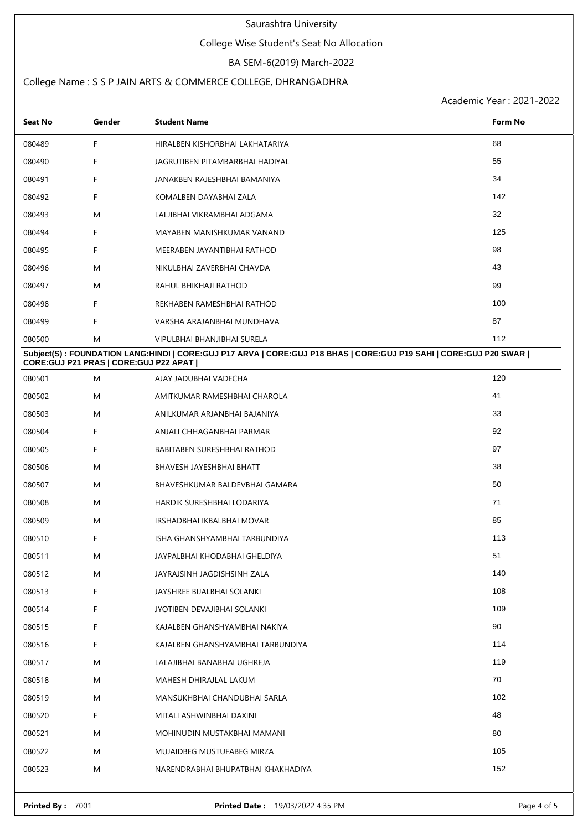## College Wise Student's Seat No Allocation

# BA SEM-6(2019) March-2022

# College Name : S S P JAIN ARTS & COMMERCE COLLEGE, DHRANGADHRA

| Seat No                                 | Gender | <b>Student Name</b>                                                                                               | Form No |
|-----------------------------------------|--------|-------------------------------------------------------------------------------------------------------------------|---------|
| 080489                                  | F      | HIRALBEN KISHORBHAI LAKHATARIYA                                                                                   | 68      |
| 080490                                  | F      | JAGRUTIBEN PITAMBARBHAI HADIYAL                                                                                   | 55      |
| 080491                                  | F      | JANAKBEN RAJESHBHAI BAMANIYA                                                                                      | 34      |
| 080492                                  | F      | KOMALBEN DAYABHAI ZALA                                                                                            | 142     |
| 080493                                  | M      | LALJIBHAI VIKRAMBHAI ADGAMA                                                                                       | 32      |
| 080494                                  | F      | MAYABEN MANISHKUMAR VANAND                                                                                        | 125     |
| 080495                                  | F      | MEERABEN JAYANTIBHAI RATHOD                                                                                       | 98      |
| 080496                                  | M      | NIKULBHAI ZAVERBHAI CHAVDA                                                                                        | 43      |
| 080497                                  | M      | RAHUL BHIKHAJI RATHOD                                                                                             | 99      |
| 080498                                  | F      | REKHABEN RAMESHBHAI RATHOD                                                                                        | 100     |
| 080499                                  | F      | VARSHA ARAJANBHAI MUNDHAVA                                                                                        | 87      |
| 080500                                  | M      | VIPULBHAI BHANJIBHAI SURELA                                                                                       | 112     |
| CORE: GUJ P21 PRAS   CORE: GUJ P22 APAT |        | Subject(S): FOUNDATION LANG:HINDI   CORE:GUJ P17 ARVA   CORE:GUJ P18 BHAS   CORE:GUJ P19 SAHI   CORE:GUJ P20 SWAR |         |
| 080501                                  | M      | AJAY JADUBHAI VADECHA                                                                                             | 120     |
| 080502                                  | M      | AMITKUMAR RAMESHBHAI CHAROLA                                                                                      | 41      |
| 080503                                  | M      | ANILKUMAR ARJANBHAI BAJANIYA                                                                                      | 33      |
| 080504                                  | F      | ANJALI CHHAGANBHAI PARMAR                                                                                         | 92      |
| 080505                                  | F      | BABITABEN SURESHBHAI RATHOD                                                                                       | 97      |
| 080506                                  | M      | BHAVESH JAYESHBHAI BHATT                                                                                          | 38      |
| 080507                                  | M      | BHAVESHKUMAR BALDEVBHAI GAMARA                                                                                    | 50      |
| 080508                                  | M      | HARDIK SURESHBHAI LODARIYA                                                                                        | 71      |
| 080509                                  | M      | IRSHADBHAI IKBALBHAI MOVAR                                                                                        | 85      |
| 080510                                  | F      | ISHA GHANSHYAMBHAI TARBUNDIYA                                                                                     | 113     |
| 080511                                  | M      | JAYPALBHAI KHODABHAI GHELDIYA                                                                                     | 51      |
| 080512                                  | M      | JAYRAJSINH JAGDISHSINH ZALA                                                                                       | 140     |
| 080513                                  | F      | JAYSHREE BIJALBHAI SOLANKI                                                                                        | 108     |
| 080514                                  | F      | JYOTIBEN DEVAJIBHAI SOLANKI                                                                                       | 109     |
| 080515                                  | F      | KAJALBEN GHANSHYAMBHAI NAKIYA                                                                                     | 90      |
| 080516                                  | F.     | KAJALBEN GHANSHYAMBHAI TARBUNDIYA                                                                                 | 114     |
| 080517                                  | M      | LALAJIBHAI BANABHAI UGHREJA                                                                                       | 119     |
| 080518                                  | M      | MAHESH DHIRAJLAL LAKUM                                                                                            | 70      |
| 080519                                  | M      | MANSUKHBHAI CHANDUBHAI SARLA                                                                                      | 102     |
| 080520                                  | F.     | MITALI ASHWINBHAI DAXINI                                                                                          | 48      |
| 080521                                  | M      | MOHINUDIN MUSTAKBHAI MAMANI                                                                                       | 80      |
| 080522                                  | M      | MUJAIDBEG MUSTUFABEG MIRZA                                                                                        | 105     |
| 080523                                  | M      | NARENDRABHAI BHUPATBHAI KHAKHADIYA                                                                                | 152     |